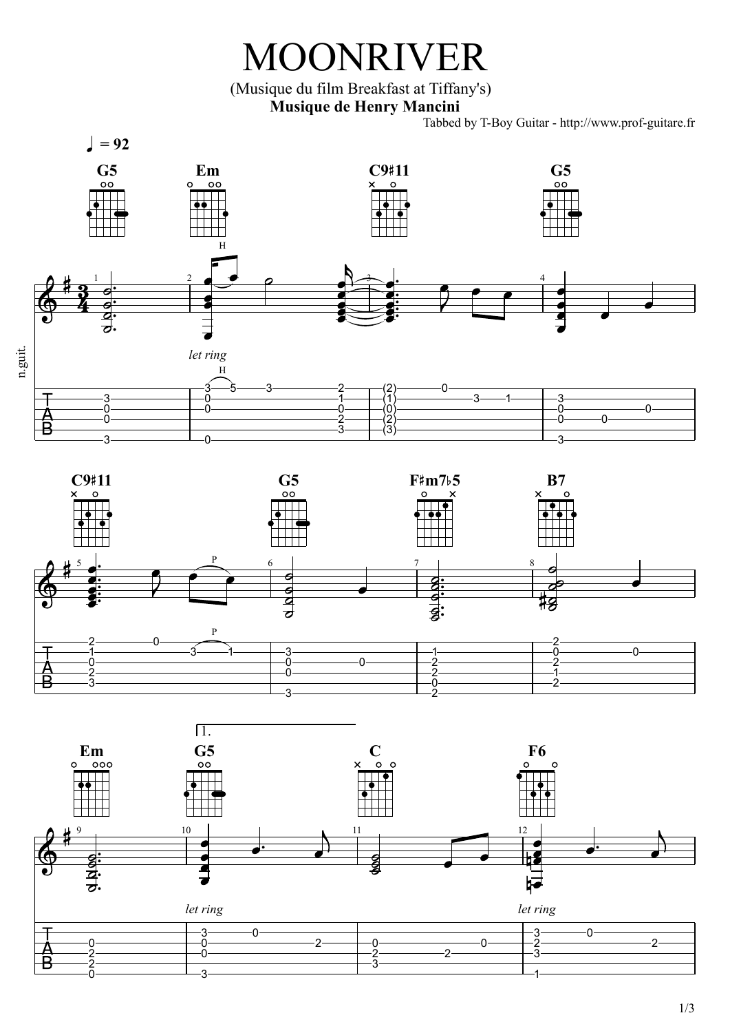## MOONRIVER

(Musique du film Breakfast at Tiffany's) **Musique de Henry Mancini**

Tabbed by T-Boy Guitar - http://www.prof-guitare.fr





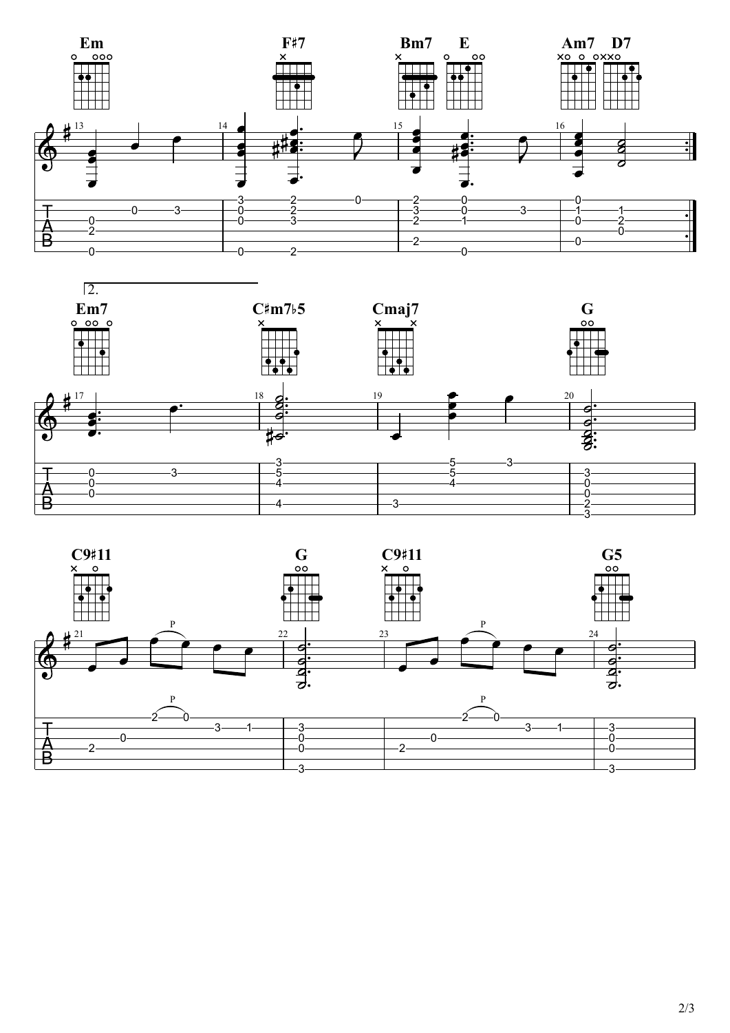